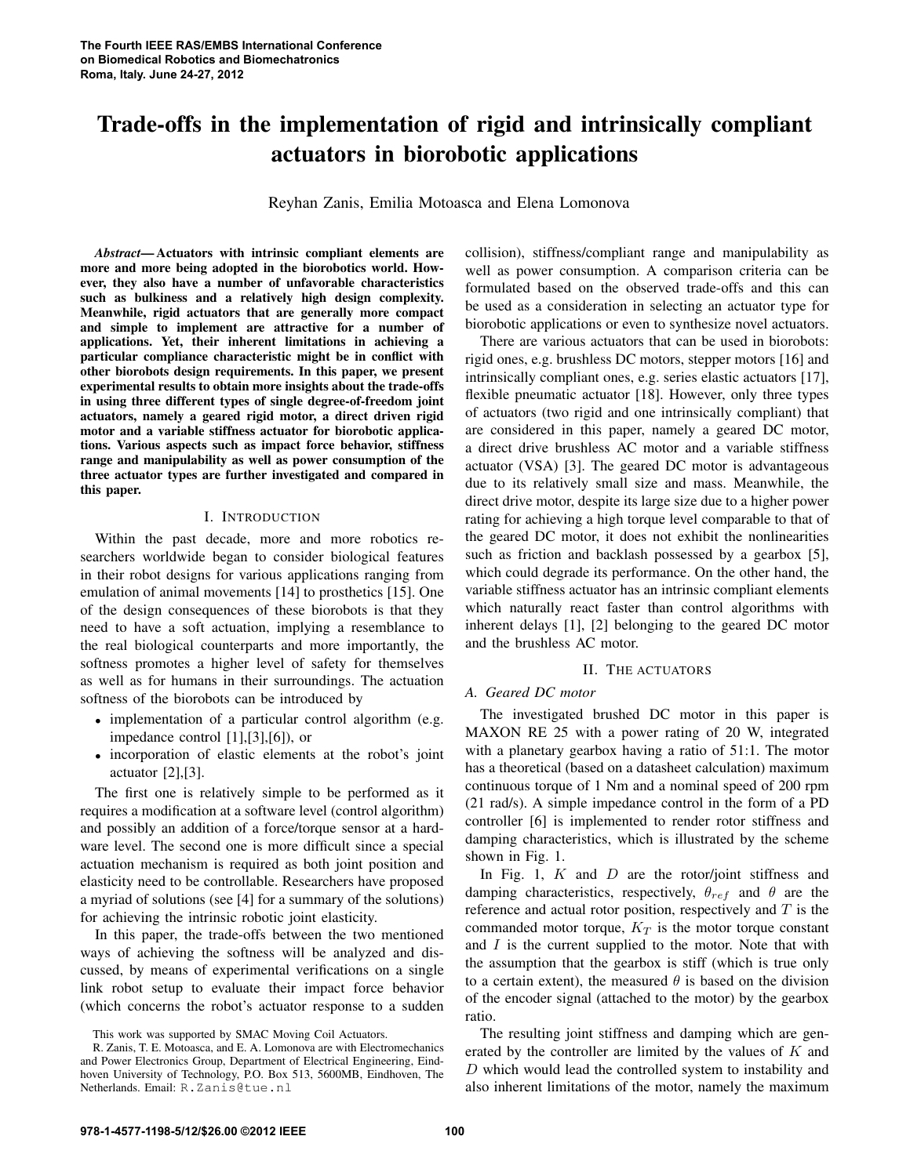# **Trade-offs in the implementation of rigid and intrinsically compliant actuators in biorobotic applications**

Reyhan Zanis, Emilia Motoasca and Elena Lomonova

*Abstract***— Actuators with intrinsic compliant elements are more and more being adopted in the biorobotics world. However, they also have a number of unfavorable characteristics such as bulkiness and a relatively high design complexity. Meanwhile, rigid actuators that are generally more compact and simple to implement are attractive for a number of applications. Yet, their inherent limitations in achieving a particular compliance characteristic might be in conflict with other biorobots design requirements. In this paper, we present experimental results to obtain more insights about the trade-offs in using three different types of single degree-of-freedom joint actuators, namely a geared rigid motor, a direct driven rigid motor and a variable stiffness actuator for biorobotic applications. Various aspects such as impact force behavior, stiffness range and manipulability as well as power consumption of the three actuator types are further investigated and compared in this paper.**

#### I. INTRODUCTION

Within the past decade, more and more robotics researchers worldwide began to consider biological features in their robot designs for various applications ranging from emulation of animal movements [14] to prosthetics [15]. One of the design consequences of these biorobots is that they need to have a soft actuation, implying a resemblance to the real biological counterparts and more importantly, the softness promotes a higher level of safety for themselves as well as for humans in their surroundings. The actuation softness of the biorobots can be introduced by

- implementation of a particular control algorithm (e.g. impedance control [1],[3],[6]), or
- incorporation of elastic elements at the robot's joint actuator [2],[3].

The first one is relatively simple to be performed as it requires a modification at a software level (control algorithm) and possibly an addition of a force/torque sensor at a hardware level. The second one is more difficult since a special actuation mechanism is required as both joint position and elasticity need to be controllable. Researchers have proposed a myriad of solutions (see [4] for a summary of the solutions) for achieving the intrinsic robotic joint elasticity.

In this paper, the trade-offs between the two mentioned ways of achieving the softness will be analyzed and discussed, by means of experimental verifications on a single link robot setup to evaluate their impact force behavior (which concerns the robot's actuator response to a sudden

This work was supported by SMAC Moving Coil Actuators.

collision), stiffness/compliant range and manipulability as well as power consumption. A comparison criteria can be formulated based on the observed trade-offs and this can be used as a consideration in selecting an actuator type for biorobotic applications or even to synthesize novel actuators.

There are various actuators that can be used in biorobots: rigid ones, e.g. brushless DC motors, stepper motors [16] and intrinsically compliant ones, e.g. series elastic actuators [17], flexible pneumatic actuator [18]. However, only three types of actuators (two rigid and one intrinsically compliant) that are considered in this paper, namely a geared DC motor, a direct drive brushless AC motor and a variable stiffness actuator (VSA) [3]. The geared DC motor is advantageous due to its relatively small size and mass. Meanwhile, the direct drive motor, despite its large size due to a higher power rating for achieving a high torque level comparable to that of the geared DC motor, it does not exhibit the nonlinearities such as friction and backlash possessed by a gearbox [5], which could degrade its performance. On the other hand, the variable stiffness actuator has an intrinsic compliant elements which naturally react faster than control algorithms with inherent delays [1], [2] belonging to the geared DC motor and the brushless AC motor.

## II. THE ACTUATORS

# *A. Geared DC motor*

The investigated brushed DC motor in this paper is MAXON RE 25 with a power rating of 20 W, integrated with a planetary gearbox having a ratio of 51:1. The motor has a theoretical (based on a datasheet calculation) maximum continuous torque of 1 Nm and a nominal speed of 200 rpm (21 rad/s). A simple impedance control in the form of a PD controller [6] is implemented to render rotor stiffness and damping characteristics, which is illustrated by the scheme shown in Fig. 1.

In Fig. 1,  $K$  and  $D$  are the rotor/joint stiffness and damping characteristics, respectively,  $\theta_{ref}$  and  $\theta$  are the reference and actual rotor position, respectively and  $T$  is the commanded motor torque,  $K_T$  is the motor torque constant and  $I$  is the current supplied to the motor. Note that with the assumption that the gearbox is stiff (which is true only to a certain extent), the measured  $\theta$  is based on the division of the encoder signal (attached to the motor) by the gearbox ratio.

The resulting joint stiffness and damping which are generated by the controller are limited by the values of K and D which would lead the controlled system to instability and also inherent limitations of the motor, namely the maximum

R. Zanis, T. E. Motoasca, and E. A. Lomonova are with Electromechanics and Power Electronics Group, Department of Electrical Engineering, Eindhoven University of Technology, P.O. Box 513, 5600MB, Eindhoven, The Netherlands. Email: R.Zanis@tue.nl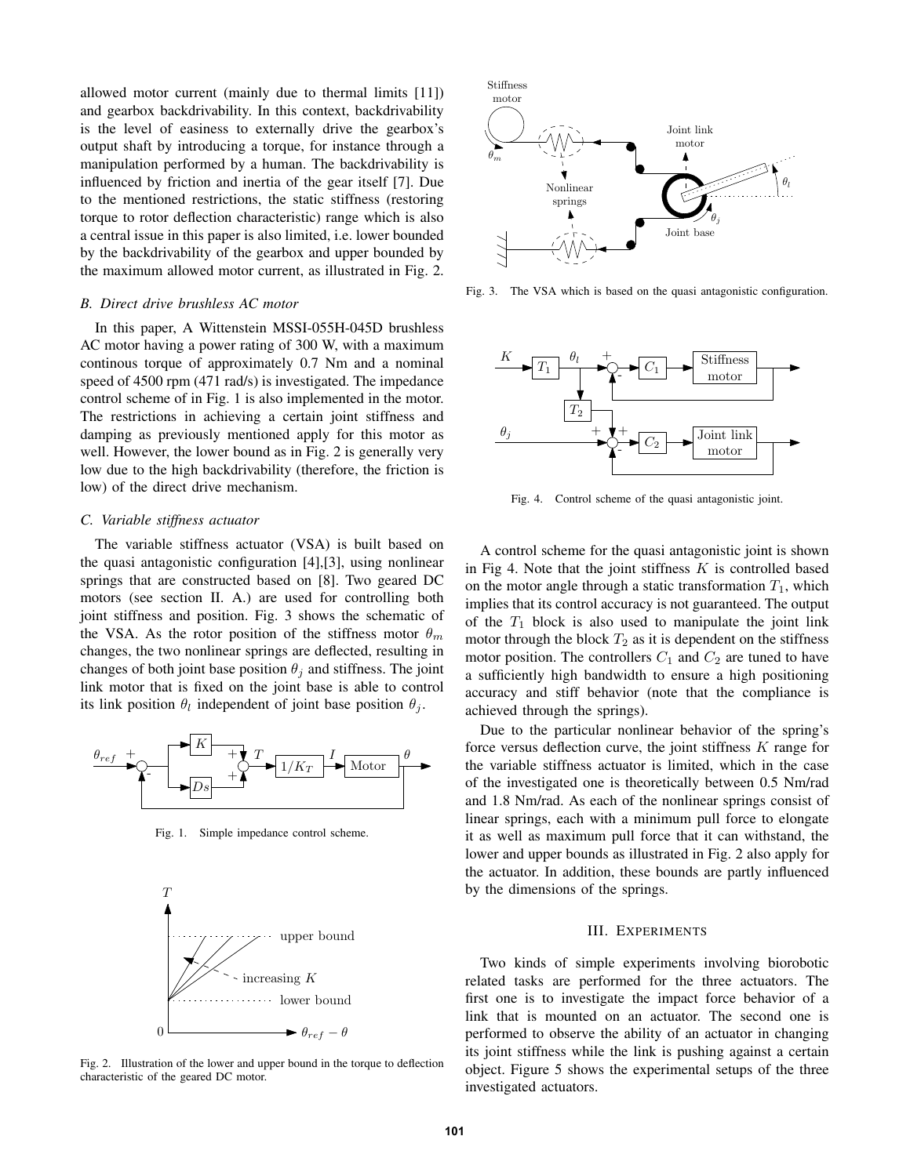allowed motor current (mainly due to thermal limits [11]) and gearbox backdrivability. In this context, backdrivability is the level of easiness to externally drive the gearbox's output shaft by introducing a torque, for instance through a manipulation performed by a human. The backdrivability is influenced by friction and inertia of the gear itself [7]. Due to the mentioned restrictions, the static stiffness (restoring torque to rotor deflection characteristic) range which is also a central issue in this paper is also limited, i.e. lower bounded by the backdrivability of the gearbox and upper bounded by the maximum allowed motor current, as illustrated in Fig. 2.

### *B. Direct drive brushless AC motor*

In this paper, A Wittenstein MSSI-055H-045D brushless AC motor having a power rating of 300 W, with a maximum continous torque of approximately 0.7 Nm and a nominal speed of 4500 rpm (471 rad/s) is investigated. The impedance control scheme of in Fig. 1 is also implemented in the motor. The restrictions in achieving a certain joint stiffness and damping as previously mentioned apply for this motor as well. However, the lower bound as in Fig. 2 is generally very low due to the high backdrivability (therefore, the friction is low) of the direct drive mechanism.

#### *C. Variable stiffness actuator*

The variable stiffness actuator (VSA) is built based on the quasi antagonistic configuration [4],[3], using nonlinear springs that are constructed based on [8]. Two geared DC motors (see section II. A.) are used for controlling both joint stiffness and position. Fig. 3 shows the schematic of the VSA. As the rotor position of the stiffness motor  $\theta_m$ changes, the two nonlinear springs are deflected, resulting in changes of both joint base position  $\theta_i$  and stiffness. The joint link motor that is fixed on the joint base is able to control its link position  $\theta_l$  independent of joint base position  $\theta_j$ .



Fig. 1. Simple impedance control scheme.



Fig. 2. Illustration of the lower and upper bound in the torque to deflection characteristic of the geared DC motor.



Fig. 3. The VSA which is based on the quasi antagonistic configuration.



Fig. 4. Control scheme of the quasi antagonistic joint.

A control scheme for the quasi antagonistic joint is shown in Fig 4. Note that the joint stiffness  $K$  is controlled based on the motor angle through a static transformation  $T_1$ , which implies that its control accuracy is not guaranteed. The output of the  $T_1$  block is also used to manipulate the joint link motor through the block  $T_2$  as it is dependent on the stiffness motor position. The controllers  $C_1$  and  $C_2$  are tuned to have a sufficiently high bandwidth to ensure a high positioning accuracy and stiff behavior (note that the compliance is achieved through the springs).

Due to the particular nonlinear behavior of the spring's force versus deflection curve, the joint stiffness  $K$  range for the variable stiffness actuator is limited, which in the case of the investigated one is theoretically between 0.5 Nm/rad and 1.8 Nm/rad. As each of the nonlinear springs consist of linear springs, each with a minimum pull force to elongate it as well as maximum pull force that it can withstand, the lower and upper bounds as illustrated in Fig. 2 also apply for the actuator. In addition, these bounds are partly influenced by the dimensions of the springs.

#### III. EXPERIMENTS

Two kinds of simple experiments involving biorobotic related tasks are performed for the three actuators. The first one is to investigate the impact force behavior of a link that is mounted on an actuator. The second one is performed to observe the ability of an actuator in changing its joint stiffness while the link is pushing against a certain object. Figure 5 shows the experimental setups of the three investigated actuators.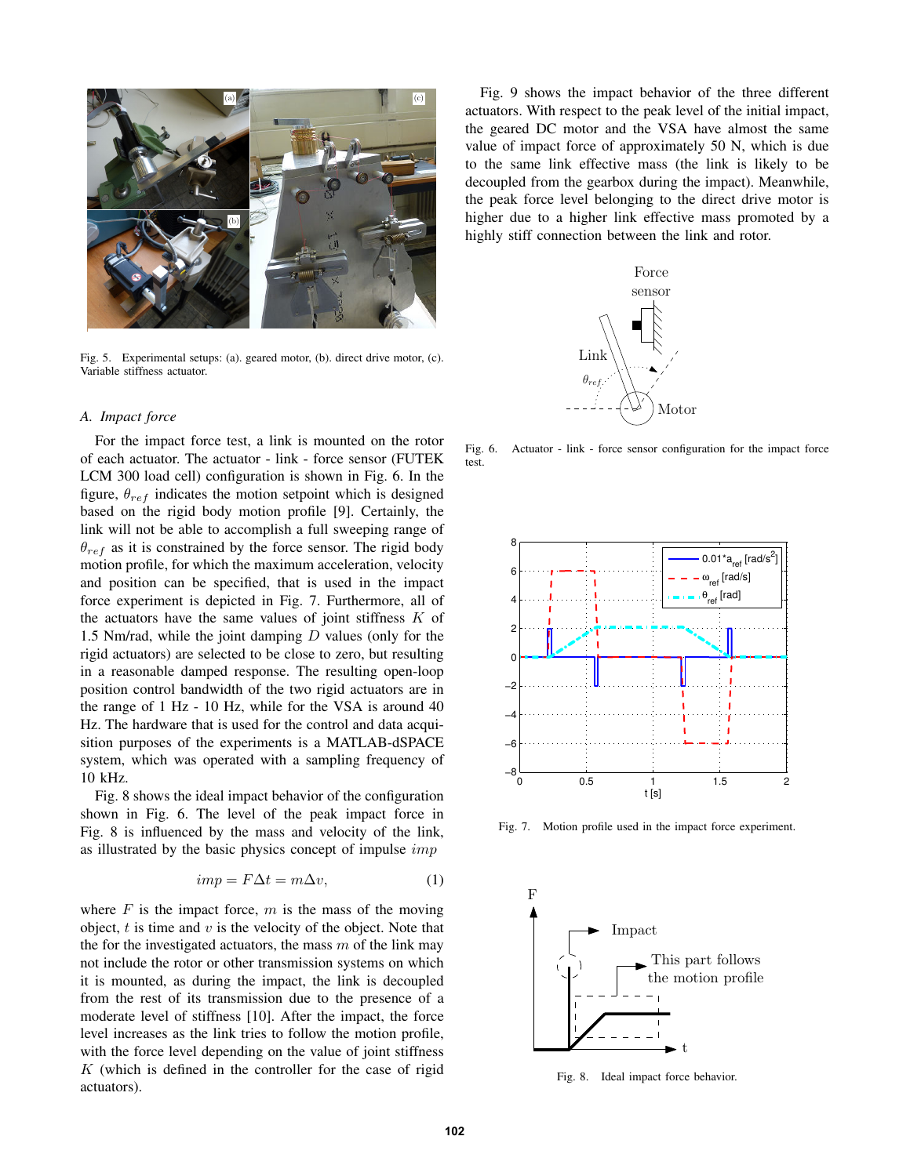

Fig. 5. Experimental setups: (a). geared motor, (b). direct drive motor, (c). Variable stiffness actuator.

#### *A. Impact force*

For the impact force test, a link is mounted on the rotor of each actuator. The actuator - link - force sensor (FUTEK LCM 300 load cell) configuration is shown in Fig. 6. In the figure,  $\theta_{ref}$  indicates the motion setpoint which is designed based on the rigid body motion profile [9]. Certainly, the link will not be able to accomplish a full sweeping range of  $\theta_{ref}$  as it is constrained by the force sensor. The rigid body motion profile, for which the maximum acceleration, velocity and position can be specified, that is used in the impact force experiment is depicted in Fig. 7. Furthermore, all of the actuators have the same values of joint stiffness  $K$  of 1.5 Nm/rad, while the joint damping  $D$  values (only for the rigid actuators) are selected to be close to zero, but resulting in a reasonable damped response. The resulting open-loop position control bandwidth of the two rigid actuators are in the range of 1 Hz - 10 Hz, while for the VSA is around 40 Hz. The hardware that is used for the control and data acquisition purposes of the experiments is a MATLAB-dSPACE system, which was operated with a sampling frequency of 10 kHz.

Fig. 8 shows the ideal impact behavior of the configuration shown in Fig. 6. The level of the peak impact force in Fig. 8 is influenced by the mass and velocity of the link, as illustrated by the basic physics concept of impulse imp

$$
imp = F\Delta t = m\Delta v,\tag{1}
$$

where  $F$  is the impact force,  $m$  is the mass of the moving object,  $t$  is time and  $v$  is the velocity of the object. Note that the for the investigated actuators, the mass  $m$  of the link may not include the rotor or other transmission systems on which it is mounted, as during the impact, the link is decoupled from the rest of its transmission due to the presence of a moderate level of stiffness [10]. After the impact, the force level increases as the link tries to follow the motion profile, with the force level depending on the value of joint stiffness  $K$  (which is defined in the controller for the case of rigid actuators).

Fig. 9 shows the impact behavior of the three different actuators. With respect to the peak level of the initial impact, the geared DC motor and the VSA have almost the same value of impact force of approximately 50 N, which is due to the same link effective mass (the link is likely to be decoupled from the gearbox during the impact). Meanwhile, the peak force level belonging to the direct drive motor is higher due to a higher link effective mass promoted by a highly stiff connection between the link and rotor.



Fig. 6. Actuator - link - force sensor configuration for the impact force test.



Fig. 7. Motion profile used in the impact force experiment.



Fig. 8. Ideal impact force behavior.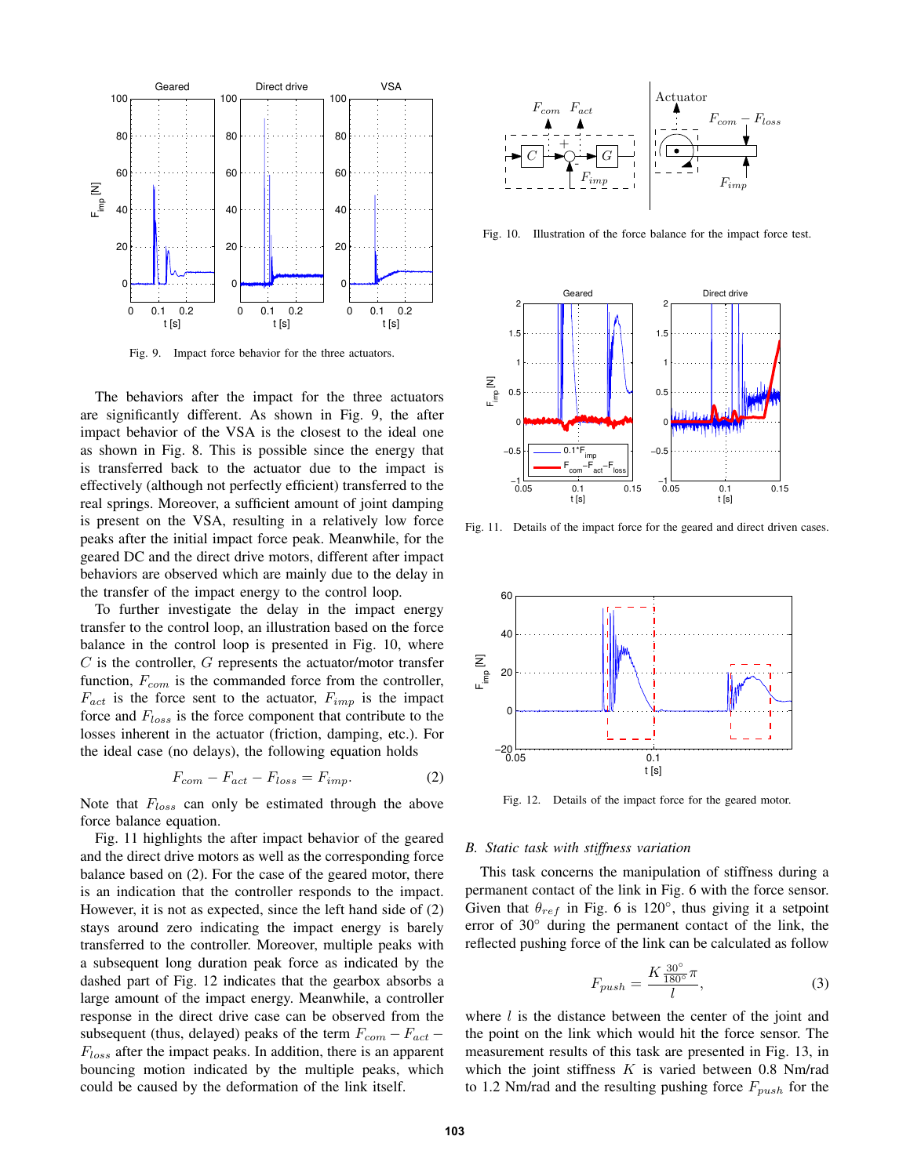

Fig. 9. Impact force behavior for the three actuators.

The behaviors after the impact for the three actuators are significantly different. As shown in Fig. 9, the after impact behavior of the VSA is the closest to the ideal one as shown in Fig. 8. This is possible since the energy that is transferred back to the actuator due to the impact is effectively (although not perfectly efficient) transferred to the real springs. Moreover, a sufficient amount of joint damping is present on the VSA, resulting in a relatively low force peaks after the initial impact force peak. Meanwhile, for the geared DC and the direct drive motors, different after impact behaviors are observed which are mainly due to the delay in the transfer of the impact energy to the control loop.

To further investigate the delay in the impact energy transfer to the control loop, an illustration based on the force balance in the control loop is presented in Fig. 10, where  $C$  is the controller,  $G$  represents the actuator/motor transfer function,  $F_{com}$  is the commanded force from the controller,  $F_{act}$  is the force sent to the actuator,  $F_{imp}$  is the impact force and  $F_{loss}$  is the force component that contribute to the losses inherent in the actuator (friction, damping, etc.). For the ideal case (no delays), the following equation holds

$$
F_{com} - F_{act} - F_{loss} = F_{imp}.
$$
 (2)

Note that  $F_{loss}$  can only be estimated through the above force balance equation.

Fig. 11 highlights the after impact behavior of the geared and the direct drive motors as well as the corresponding force balance based on (2). For the case of the geared motor, there is an indication that the controller responds to the impact. However, it is not as expected, since the left hand side of (2) stays around zero indicating the impact energy is barely transferred to the controller. Moreover, multiple peaks with a subsequent long duration peak force as indicated by the dashed part of Fig. 12 indicates that the gearbox absorbs a large amount of the impact energy. Meanwhile, a controller response in the direct drive case can be observed from the subsequent (thus, delayed) peaks of the term  $F_{com} - F_{act}$  –  $F_{loss}$  after the impact peaks. In addition, there is an apparent bouncing motion indicated by the multiple peaks, which could be caused by the deformation of the link itself.



Fig. 10. Illustration of the force balance for the impact force test.



Fig. 11. Details of the impact force for the geared and direct driven cases.



Fig. 12. Details of the impact force for the geared motor.

#### *B. Static task with stiffness variation*

This task concerns the manipulation of stiffness during a permanent contact of the link in Fig. 6 with the force sensor. Given that  $\theta_{ref}$  in Fig. 6 is 120 $^{\circ}$ , thus giving it a setpoint error of 30◦ during the permanent contact of the link, the reflected pushing force of the link can be calculated as follow

$$
F_{push} = \frac{K \frac{30^{\circ}}{180^{\circ}} \pi}{l},\tag{3}
$$

where  $l$  is the distance between the center of the joint and the point on the link which would hit the force sensor. The measurement results of this task are presented in Fig. 13, in which the joint stiffness  $K$  is varied between 0.8 Nm/rad to 1.2 Nm/rad and the resulting pushing force  $F_{push}$  for the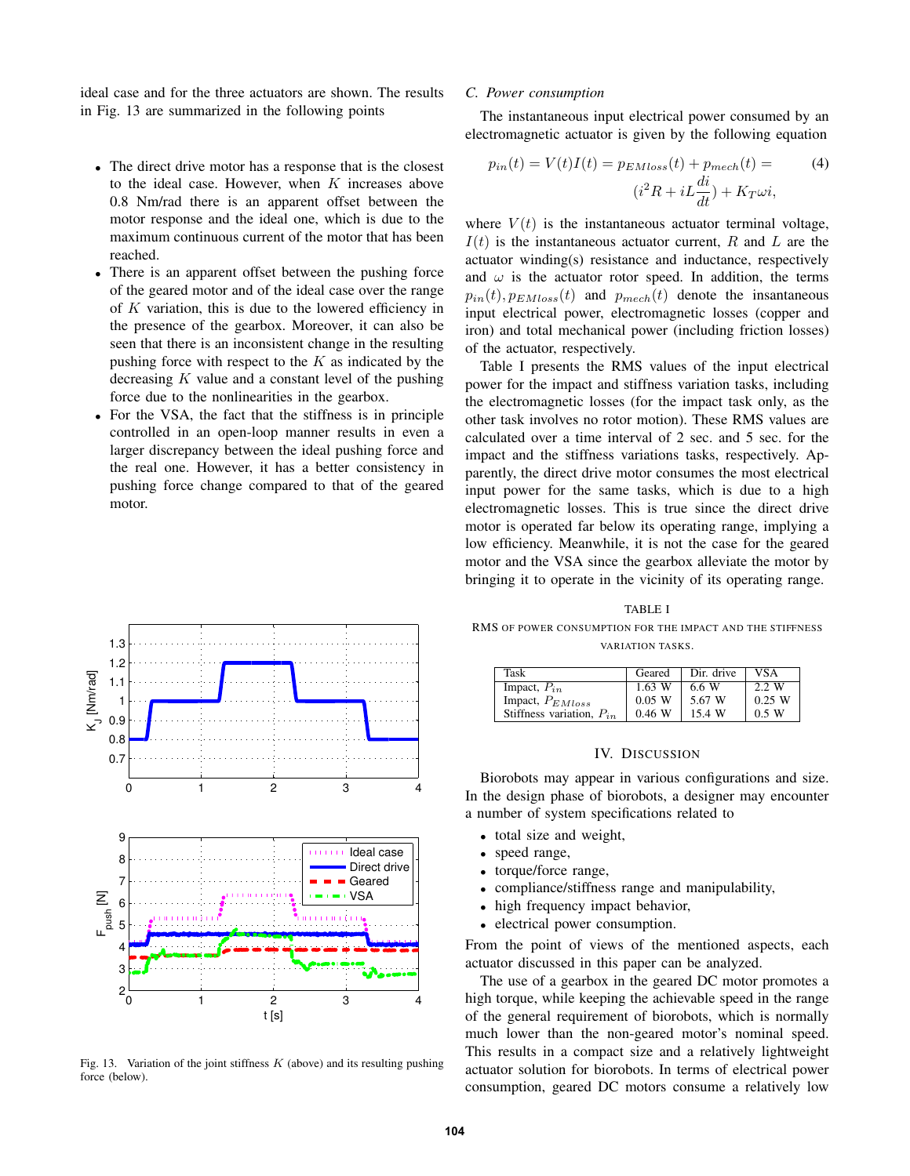ideal case and for the three actuators are shown. The results in Fig. 13 are summarized in the following points

- The direct drive motor has a response that is the closest to the ideal case. However, when  $K$  increases above 0.8 Nm/rad there is an apparent offset between the motor response and the ideal one, which is due to the maximum continuous current of the motor that has been reached.
- There is an apparent offset between the pushing force of the geared motor and of the ideal case over the range of  $K$  variation, this is due to the lowered efficiency in the presence of the gearbox. Moreover, it can also be seen that there is an inconsistent change in the resulting pushing force with respect to the  $K$  as indicated by the decreasing  $K$  value and a constant level of the pushing force due to the nonlinearities in the gearbox.
- For the VSA, the fact that the stiffness is in principle controlled in an open-loop manner results in even a larger discrepancy between the ideal pushing force and the real one. However, it has a better consistency in pushing force change compared to that of the geared motor.



Fig. 13. Variation of the joint stiffness  $K$  (above) and its resulting pushing force (below).

#### *C. Power consumption*

The instantaneous input electrical power consumed by an electromagnetic actuator is given by the following equation

$$
p_{in}(t) = V(t)I(t) = p_{EMloss}(t) + p_{mech}(t) =
$$
\n
$$
(i^2R + iL\frac{di}{dt}) + K_T\omega i,
$$
\n(4)

where  $V(t)$  is the instantaneous actuator terminal voltage,  $I(t)$  is the instantaneous actuator current, R and L are the actuator winding(s) resistance and inductance, respectively and  $\omega$  is the actuator rotor speed. In addition, the terms  $p_{in}(t)$ ,  $p_{EM loss}(t)$  and  $p_{mech}(t)$  denote the insantaneous input electrical power, electromagnetic losses (copper and iron) and total mechanical power (including friction losses) of the actuator, respectively.

Table I presents the RMS values of the input electrical power for the impact and stiffness variation tasks, including the electromagnetic losses (for the impact task only, as the other task involves no rotor motion). These RMS values are calculated over a time interval of 2 sec. and 5 sec. for the impact and the stiffness variations tasks, respectively. Apparently, the direct drive motor consumes the most electrical input power for the same tasks, which is due to a high electromagnetic losses. This is true since the direct drive motor is operated far below its operating range, implying a low efficiency. Meanwhile, it is not the case for the geared motor and the VSA since the gearbox alleviate the motor by bringing it to operate in the vicinity of its operating range.

TABLE I

RMS OF POWER CONSUMPTION FOR THE IMPACT AND THE STIFFNESS VARIATION TASKS.

| Task                          | Geared | Dir. drive | <b>VSA</b> |
|-------------------------------|--------|------------|------------|
| Impact, $P_{in}$              | 1.63 W | 6.6 W      | 2.2 W      |
| Impact, $P_{EMloss}$          | 0.05 W | 5.67 W     | 0.25 W     |
| Stiffness variation, $P_{in}$ | 0.46 W | 15.4 W     | 0.5 W      |

### IV. DISCUSSION

Biorobots may appear in various configurations and size. In the design phase of biorobots, a designer may encounter a number of system specifications related to

- total size and weight,
- speed range,
- torque/force range,
- compliance/stiffness range and manipulability,
- high frequency impact behavior,
- electrical power consumption.

From the point of views of the mentioned aspects, each actuator discussed in this paper can be analyzed.

The use of a gearbox in the geared DC motor promotes a high torque, while keeping the achievable speed in the range of the general requirement of biorobots, which is normally much lower than the non-geared motor's nominal speed. This results in a compact size and a relatively lightweight actuator solution for biorobots. In terms of electrical power consumption, geared DC motors consume a relatively low